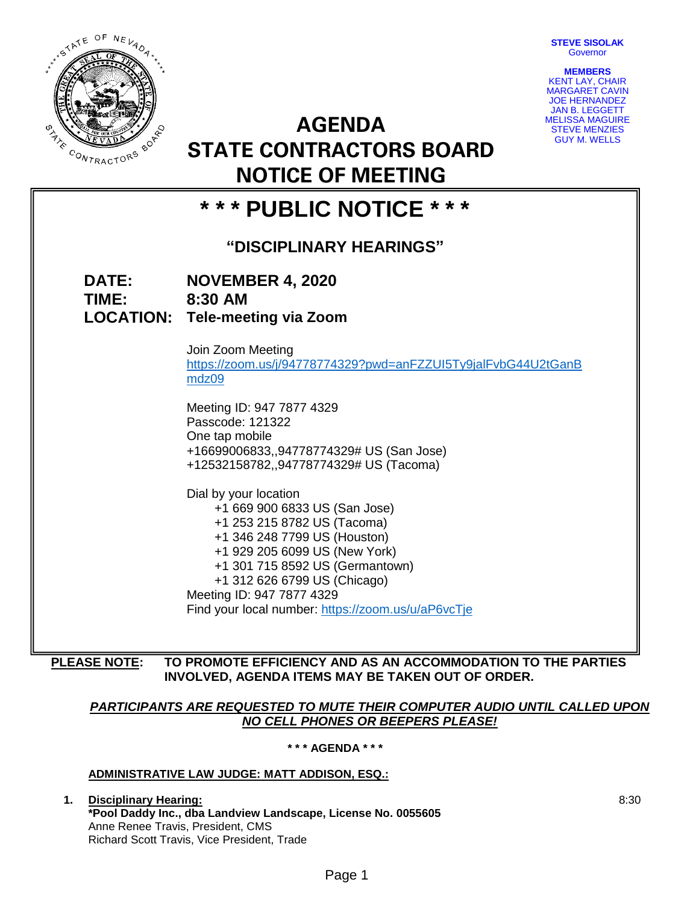**STEVE SISOLAK Governor** 



**AGENDA STATE CONTRACTORS BOARD NOTICE OF MEETING**

| <b>MEMBERS</b>         |
|------------------------|
| <b>KENT LAY, CHAIR</b> |
| <b>MARGARET CAVIN</b>  |
| <b>JOE HERNANDEZ</b>   |
| <b>JAN B. LEGGETT</b>  |
| MELISSA MAGUIRE        |
| <b>STEVE MENZIES</b>   |
| <b>GUY M. WELLS</b>    |

| NOTICE OF MEETING         |                                                                                                                                                                                                                                                                                                              |  |
|---------------------------|--------------------------------------------------------------------------------------------------------------------------------------------------------------------------------------------------------------------------------------------------------------------------------------------------------------|--|
| * * * PUBLIC NOTICE * * * |                                                                                                                                                                                                                                                                                                              |  |
| "DISCIPLINARY HEARINGS"   |                                                                                                                                                                                                                                                                                                              |  |
| <b>DATE:</b><br>TIME:     | <b>NOVEMBER 4, 2020</b><br>8:30 AM<br><b>LOCATION: Tele-meeting via Zoom</b>                                                                                                                                                                                                                                 |  |
|                           | Join Zoom Meeting<br>https://zoom.us/j/94778774329?pwd=anFZZUI5Ty9jalFvbG44U2tGanB<br>mdz09                                                                                                                                                                                                                  |  |
|                           | Meeting ID: 947 7877 4329<br>Passcode: 121322<br>One tap mobile<br>+16699006833,,94778774329# US (San Jose)<br>+12532158782,,94778774329# US (Tacoma)                                                                                                                                                        |  |
|                           | Dial by your location<br>+1 669 900 6833 US (San Jose)<br>+1 253 215 8782 US (Tacoma)<br>+1 346 248 7799 US (Houston)<br>+1 929 205 6099 US (New York)<br>+1 301 715 8592 US (Germantown)<br>+1 312 626 6799 US (Chicago)<br>Meeting ID: 947 7877 4329<br>Find your local number: https://zoom.us/u/aP6vcTje |  |
|                           |                                                                                                                                                                                                                                                                                                              |  |

**PLEASE NOTE: TO PROMOTE EFFICIENCY AND AS AN ACCOMMODATION TO THE PARTIES INVOLVED, AGENDA ITEMS MAY BE TAKEN OUT OF ORDER.**

## *PARTICIPANTS ARE REQUESTED TO MUTE THEIR COMPUTER AUDIO UNTIL CALLED UPON NO CELL PHONES OR BEEPERS PLEASE!*

**\* \* \* AGENDA \* \* \***

# **ADMINISTRATIVE LAW JUDGE: MATT ADDISON, ESQ.:**

**1. Disciplinary Hearing: \*Pool Daddy Inc., dba Landview Landscape, License No. 0055605** Anne Renee Travis, President, CMS Richard Scott Travis, Vice President, Trade

8:30